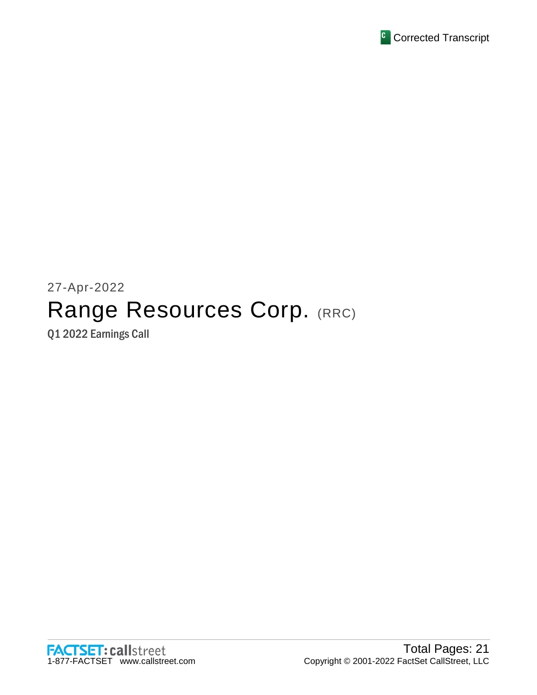

# 27-Apr-2022 Range Resources Corp. (RRC)

Q1 2022 Earnings Call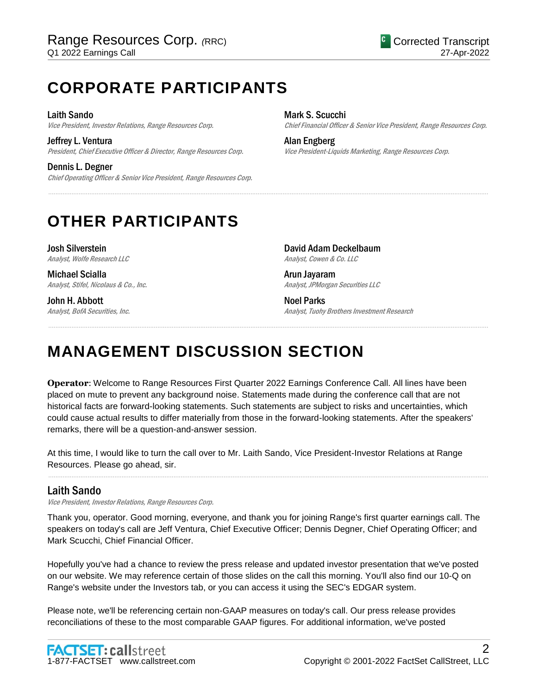# **CORPORATE PARTICIPANTS**

Laith Sando Vice President, Investor Relations, Range Resources Corp.

Jeffrey L. Ventura President, Chief Executive Officer & Director, Range Resources Corp.

Dennis L. Degner Chief Operating Officer & Senior Vice President, Range Resources Corp. Mark S. Scucchi Chief Financial Officer & Senior Vice President, Range Resources Corp.

Alan Engberg Vice President-Liquids Marketing, Range Resources Corp.

# **OTHER PARTICIPANTS**

Josh Silverstein Analyst, Wolfe Research LLC

Michael Scialla Analyst, Stifel, Nicolaus & Co., Inc.

John H. Abbott Analyst, BofA Securities, Inc. David Adam Deckelbaum Analyst, Cowen & Co. LLC

Arun Jayaram Analyst, JPMorgan Securities LLC

Noel Parks Analyst, Tuohy Brothers Investment Research

# **MANAGEMENT DISCUSSION SECTION**

**Operator**: Welcome to Range Resources First Quarter 2022 Earnings Conference Call. All lines have been placed on mute to prevent any background noise. Statements made during the conference call that are not historical facts are forward-looking statements. Such statements are subject to risks and uncertainties, which could cause actual results to differ materially from those in the forward-looking statements. After the speakers' remarks, there will be a question-and-answer session.

......................................................................................................................................................................................................................................................

......................................................................................................................................................................................................................................................

At this time, I would like to turn the call over to Mr. Laith Sando, Vice President-Investor Relations at Range Resources. Please go ahead, sir.

## Laith Sando

Vice President, Investor Relations, Range Resources Corp.

Thank you, operator. Good morning, everyone, and thank you for joining Range's first quarter earnings call. The speakers on today's call are Jeff Ventura, Chief Executive Officer; Dennis Degner, Chief Operating Officer; and Mark Scucchi, Chief Financial Officer.

......................................................................................................................................................................................................................................................

Hopefully you've had a chance to review the press release and updated investor presentation that we've posted on our website. We may reference certain of those slides on the call this morning. You'll also find our 10-Q on Range's website under the Investors tab, or you can access it using the SEC's EDGAR system.

Please note, we'll be referencing certain non-GAAP measures on today's call. Our press release provides reconciliations of these to the most comparable GAAP figures. For additional information, we've posted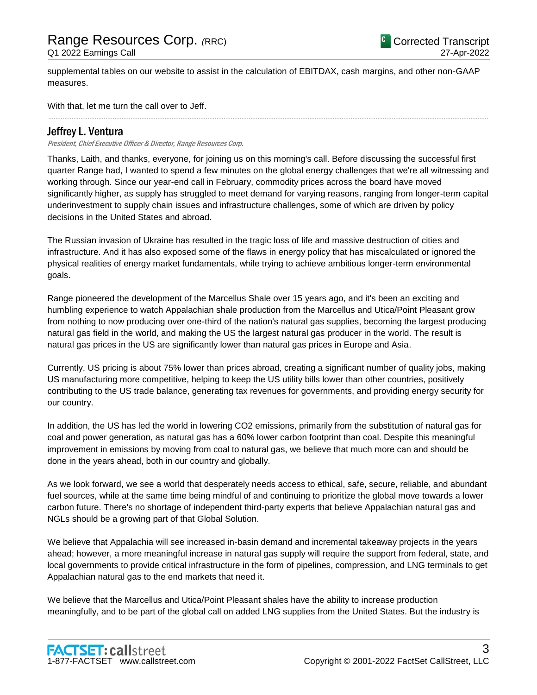supplemental tables on our website to assist in the calculation of EBITDAX, cash margins, and other non-GAAP measures.

......................................................................................................................................................................................................................................................

With that, let me turn the call over to Jeff.

### Jeffrey L. Ventura

President, Chief Executive Officer & Director, Range Resources Corp.

Thanks, Laith, and thanks, everyone, for joining us on this morning's call. Before discussing the successful first quarter Range had, I wanted to spend a few minutes on the global energy challenges that we're all witnessing and working through. Since our year-end call in February, commodity prices across the board have moved significantly higher, as supply has struggled to meet demand for varying reasons, ranging from longer-term capital underinvestment to supply chain issues and infrastructure challenges, some of which are driven by policy decisions in the United States and abroad.

The Russian invasion of Ukraine has resulted in the tragic loss of life and massive destruction of cities and infrastructure. And it has also exposed some of the flaws in energy policy that has miscalculated or ignored the physical realities of energy market fundamentals, while trying to achieve ambitious longer-term environmental goals.

Range pioneered the development of the Marcellus Shale over 15 years ago, and it's been an exciting and humbling experience to watch Appalachian shale production from the Marcellus and Utica/Point Pleasant grow from nothing to now producing over one-third of the nation's natural gas supplies, becoming the largest producing natural gas field in the world, and making the US the largest natural gas producer in the world. The result is natural gas prices in the US are significantly lower than natural gas prices in Europe and Asia.

Currently, US pricing is about 75% lower than prices abroad, creating a significant number of quality jobs, making US manufacturing more competitive, helping to keep the US utility bills lower than other countries, positively contributing to the US trade balance, generating tax revenues for governments, and providing energy security for our country.

In addition, the US has led the world in lowering CO2 emissions, primarily from the substitution of natural gas for coal and power generation, as natural gas has a 60% lower carbon footprint than coal. Despite this meaningful improvement in emissions by moving from coal to natural gas, we believe that much more can and should be done in the years ahead, both in our country and globally.

As we look forward, we see a world that desperately needs access to ethical, safe, secure, reliable, and abundant fuel sources, while at the same time being mindful of and continuing to prioritize the global move towards a lower carbon future. There's no shortage of independent third-party experts that believe Appalachian natural gas and NGLs should be a growing part of that Global Solution.

We believe that Appalachia will see increased in-basin demand and incremental takeaway projects in the years ahead; however, a more meaningful increase in natural gas supply will require the support from federal, state, and local governments to provide critical infrastructure in the form of pipelines, compression, and LNG terminals to get Appalachian natural gas to the end markets that need it.

We believe that the Marcellus and Utica/Point Pleasant shales have the ability to increase production meaningfully, and to be part of the global call on added LNG supplies from the United States. But the industry is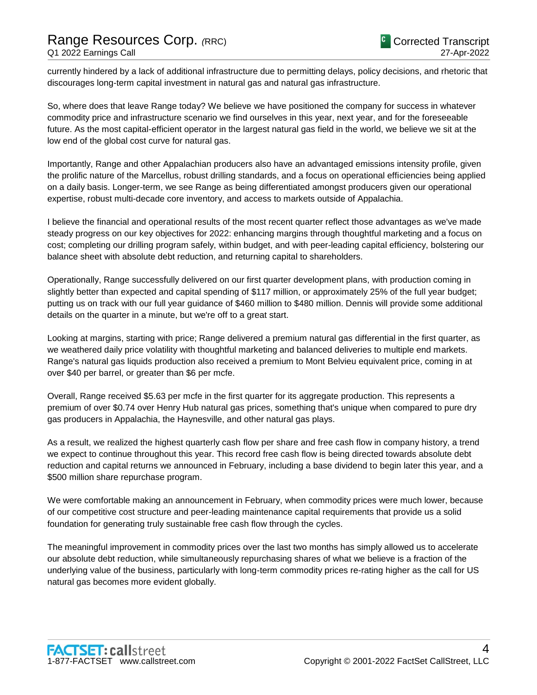currently hindered by a lack of additional infrastructure due to permitting delays, policy decisions, and rhetoric that discourages long-term capital investment in natural gas and natural gas infrastructure.

So, where does that leave Range today? We believe we have positioned the company for success in whatever commodity price and infrastructure scenario we find ourselves in this year, next year, and for the foreseeable future. As the most capital-efficient operator in the largest natural gas field in the world, we believe we sit at the low end of the global cost curve for natural gas.

Importantly, Range and other Appalachian producers also have an advantaged emissions intensity profile, given the prolific nature of the Marcellus, robust drilling standards, and a focus on operational efficiencies being applied on a daily basis. Longer-term, we see Range as being differentiated amongst producers given our operational expertise, robust multi-decade core inventory, and access to markets outside of Appalachia.

I believe the financial and operational results of the most recent quarter reflect those advantages as we've made steady progress on our key objectives for 2022: enhancing margins through thoughtful marketing and a focus on cost; completing our drilling program safely, within budget, and with peer-leading capital efficiency, bolstering our balance sheet with absolute debt reduction, and returning capital to shareholders.

Operationally, Range successfully delivered on our first quarter development plans, with production coming in slightly better than expected and capital spending of \$117 million, or approximately 25% of the full year budget; putting us on track with our full year guidance of \$460 million to \$480 million. Dennis will provide some additional details on the quarter in a minute, but we're off to a great start.

Looking at margins, starting with price; Range delivered a premium natural gas differential in the first quarter, as we weathered daily price volatility with thoughtful marketing and balanced deliveries to multiple end markets. Range's natural gas liquids production also received a premium to Mont Belvieu equivalent price, coming in at over \$40 per barrel, or greater than \$6 per mcfe.

Overall, Range received \$5.63 per mcfe in the first quarter for its aggregate production. This represents a premium of over \$0.74 over Henry Hub natural gas prices, something that's unique when compared to pure dry gas producers in Appalachia, the Haynesville, and other natural gas plays.

As a result, we realized the highest quarterly cash flow per share and free cash flow in company history, a trend we expect to continue throughout this year. This record free cash flow is being directed towards absolute debt reduction and capital returns we announced in February, including a base dividend to begin later this year, and a \$500 million share repurchase program.

We were comfortable making an announcement in February, when commodity prices were much lower, because of our competitive cost structure and peer-leading maintenance capital requirements that provide us a solid foundation for generating truly sustainable free cash flow through the cycles.

The meaningful improvement in commodity prices over the last two months has simply allowed us to accelerate our absolute debt reduction, while simultaneously repurchasing shares of what we believe is a fraction of the underlying value of the business, particularly with long-term commodity prices re-rating higher as the call for US natural gas becomes more evident globally.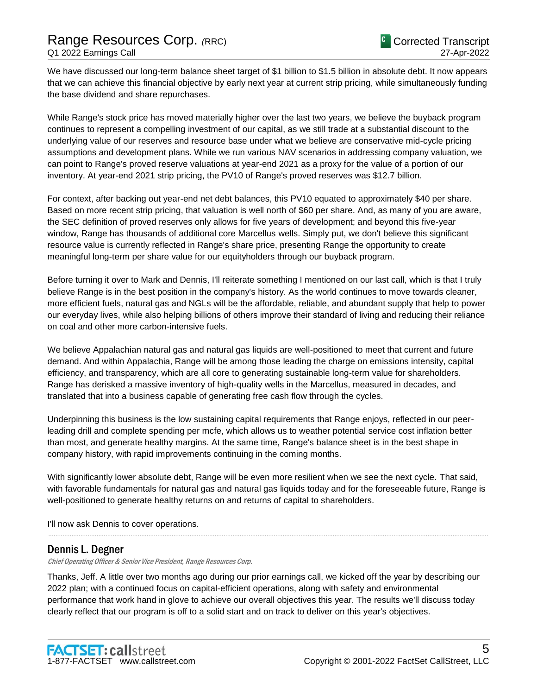We have discussed our long-term balance sheet target of \$1 billion to \$1.5 billion in absolute debt. It now appears that we can achieve this financial objective by early next year at current strip pricing, while simultaneously funding the base dividend and share repurchases.

While Range's stock price has moved materially higher over the last two years, we believe the buyback program continues to represent a compelling investment of our capital, as we still trade at a substantial discount to the underlying value of our reserves and resource base under what we believe are conservative mid-cycle pricing assumptions and development plans. While we run various NAV scenarios in addressing company valuation, we can point to Range's proved reserve valuations at year-end 2021 as a proxy for the value of a portion of our inventory. At year-end 2021 strip pricing, the PV10 of Range's proved reserves was \$12.7 billion.

For context, after backing out year-end net debt balances, this PV10 equated to approximately \$40 per share. Based on more recent strip pricing, that valuation is well north of \$60 per share. And, as many of you are aware, the SEC definition of proved reserves only allows for five years of development; and beyond this five-year window, Range has thousands of additional core Marcellus wells. Simply put, we don't believe this significant resource value is currently reflected in Range's share price, presenting Range the opportunity to create meaningful long-term per share value for our equityholders through our buyback program.

Before turning it over to Mark and Dennis, I'll reiterate something I mentioned on our last call, which is that I truly believe Range is in the best position in the company's history. As the world continues to move towards cleaner, more efficient fuels, natural gas and NGLs will be the affordable, reliable, and abundant supply that help to power our everyday lives, while also helping billions of others improve their standard of living and reducing their reliance on coal and other more carbon-intensive fuels.

We believe Appalachian natural gas and natural gas liquids are well-positioned to meet that current and future demand. And within Appalachia, Range will be among those leading the charge on emissions intensity, capital efficiency, and transparency, which are all core to generating sustainable long-term value for shareholders. Range has derisked a massive inventory of high-quality wells in the Marcellus, measured in decades, and translated that into a business capable of generating free cash flow through the cycles.

Underpinning this business is the low sustaining capital requirements that Range enjoys, reflected in our peerleading drill and complete spending per mcfe, which allows us to weather potential service cost inflation better than most, and generate healthy margins. At the same time, Range's balance sheet is in the best shape in company history, with rapid improvements continuing in the coming months.

With significantly lower absolute debt, Range will be even more resilient when we see the next cycle. That said, with favorable fundamentals for natural gas and natural gas liquids today and for the foreseeable future, Range is well-positioned to generate healthy returns on and returns of capital to shareholders.

......................................................................................................................................................................................................................................................

I'll now ask Dennis to cover operations.

### Dennis L. Degner

Chief Operating Officer & Senior Vice President, Range Resources Corp.

Thanks, Jeff. A little over two months ago during our prior earnings call, we kicked off the year by describing our 2022 plan; with a continued focus on capital-efficient operations, along with safety and environmental performance that work hand in glove to achieve our overall objectives this year. The results we'll discuss today clearly reflect that our program is off to a solid start and on track to deliver on this year's objectives.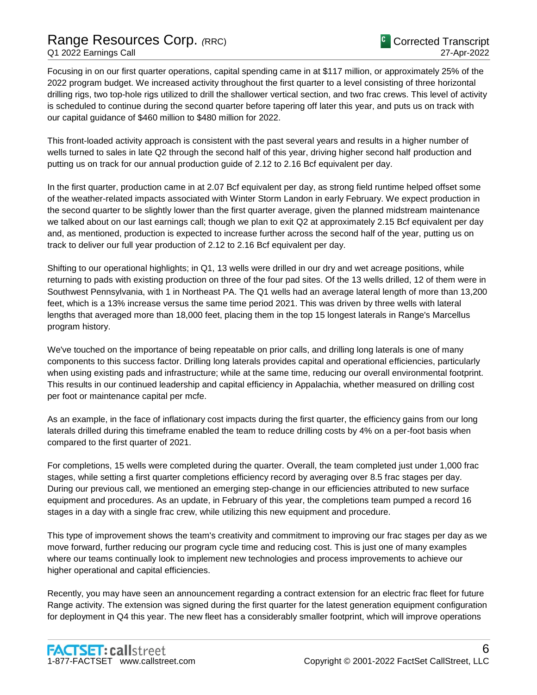# Range Resources Corp. *(*RRC) Q1 2022 Earnings Call

Focusing in on our first quarter operations, capital spending came in at \$117 million, or approximately 25% of the 2022 program budget. We increased activity throughout the first quarter to a level consisting of three horizontal drilling rigs, two top-hole rigs utilized to drill the shallower vertical section, and two frac crews. This level of activity is scheduled to continue during the second quarter before tapering off later this year, and puts us on track with our capital guidance of \$460 million to \$480 million for 2022.

This front-loaded activity approach is consistent with the past several years and results in a higher number of wells turned to sales in late Q2 through the second half of this year, driving higher second half production and putting us on track for our annual production guide of 2.12 to 2.16 Bcf equivalent per day.

In the first quarter, production came in at 2.07 Bcf equivalent per day, as strong field runtime helped offset some of the weather-related impacts associated with Winter Storm Landon in early February. We expect production in the second quarter to be slightly lower than the first quarter average, given the planned midstream maintenance we talked about on our last earnings call; though we plan to exit Q2 at approximately 2.15 Bcf equivalent per day and, as mentioned, production is expected to increase further across the second half of the year, putting us on track to deliver our full year production of 2.12 to 2.16 Bcf equivalent per day.

Shifting to our operational highlights; in Q1, 13 wells were drilled in our dry and wet acreage positions, while returning to pads with existing production on three of the four pad sites. Of the 13 wells drilled, 12 of them were in Southwest Pennsylvania, with 1 in Northeast PA. The Q1 wells had an average lateral length of more than 13,200 feet, which is a 13% increase versus the same time period 2021. This was driven by three wells with lateral lengths that averaged more than 18,000 feet, placing them in the top 15 longest laterals in Range's Marcellus program history.

We've touched on the importance of being repeatable on prior calls, and drilling long laterals is one of many components to this success factor. Drilling long laterals provides capital and operational efficiencies, particularly when using existing pads and infrastructure; while at the same time, reducing our overall environmental footprint. This results in our continued leadership and capital efficiency in Appalachia, whether measured on drilling cost per foot or maintenance capital per mcfe.

As an example, in the face of inflationary cost impacts during the first quarter, the efficiency gains from our long laterals drilled during this timeframe enabled the team to reduce drilling costs by 4% on a per-foot basis when compared to the first quarter of 2021.

For completions, 15 wells were completed during the quarter. Overall, the team completed just under 1,000 frac stages, while setting a first quarter completions efficiency record by averaging over 8.5 frac stages per day. During our previous call, we mentioned an emerging step-change in our efficiencies attributed to new surface equipment and procedures. As an update, in February of this year, the completions team pumped a record 16 stages in a day with a single frac crew, while utilizing this new equipment and procedure.

This type of improvement shows the team's creativity and commitment to improving our frac stages per day as we move forward, further reducing our program cycle time and reducing cost. This is just one of many examples where our teams continually look to implement new technologies and process improvements to achieve our higher operational and capital efficiencies.

Recently, you may have seen an announcement regarding a contract extension for an electric frac fleet for future Range activity. The extension was signed during the first quarter for the latest generation equipment configuration for deployment in Q4 this year. The new fleet has a considerably smaller footprint, which will improve operations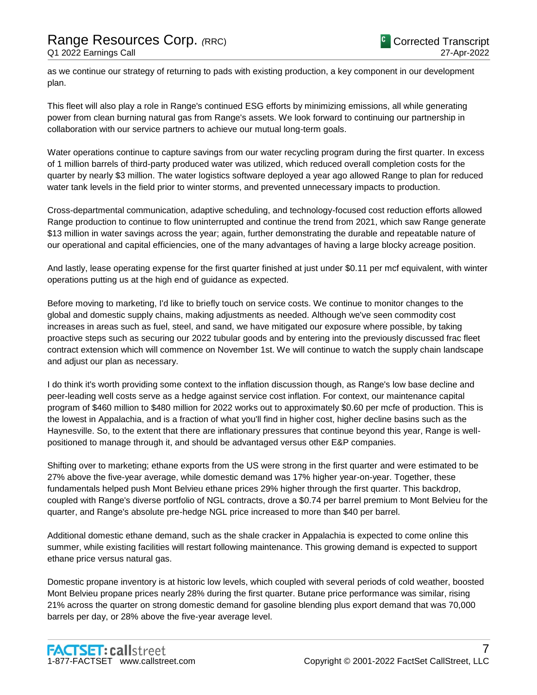as we continue our strategy of returning to pads with existing production, a key component in our development plan.

This fleet will also play a role in Range's continued ESG efforts by minimizing emissions, all while generating power from clean burning natural gas from Range's assets. We look forward to continuing our partnership in collaboration with our service partners to achieve our mutual long-term goals.

Water operations continue to capture savings from our water recycling program during the first quarter. In excess of 1 million barrels of third-party produced water was utilized, which reduced overall completion costs for the quarter by nearly \$3 million. The water logistics software deployed a year ago allowed Range to plan for reduced water tank levels in the field prior to winter storms, and prevented unnecessary impacts to production.

Cross-departmental communication, adaptive scheduling, and technology-focused cost reduction efforts allowed Range production to continue to flow uninterrupted and continue the trend from 2021, which saw Range generate \$13 million in water savings across the year; again, further demonstrating the durable and repeatable nature of our operational and capital efficiencies, one of the many advantages of having a large blocky acreage position.

And lastly, lease operating expense for the first quarter finished at just under \$0.11 per mcf equivalent, with winter operations putting us at the high end of guidance as expected.

Before moving to marketing, I'd like to briefly touch on service costs. We continue to monitor changes to the global and domestic supply chains, making adjustments as needed. Although we've seen commodity cost increases in areas such as fuel, steel, and sand, we have mitigated our exposure where possible, by taking proactive steps such as securing our 2022 tubular goods and by entering into the previously discussed frac fleet contract extension which will commence on November 1st. We will continue to watch the supply chain landscape and adjust our plan as necessary.

I do think it's worth providing some context to the inflation discussion though, as Range's low base decline and peer-leading well costs serve as a hedge against service cost inflation. For context, our maintenance capital program of \$460 million to \$480 million for 2022 works out to approximately \$0.60 per mcfe of production. This is the lowest in Appalachia, and is a fraction of what you'll find in higher cost, higher decline basins such as the Haynesville. So, to the extent that there are inflationary pressures that continue beyond this year, Range is wellpositioned to manage through it, and should be advantaged versus other E&P companies.

Shifting over to marketing; ethane exports from the US were strong in the first quarter and were estimated to be 27% above the five-year average, while domestic demand was 17% higher year-on-year. Together, these fundamentals helped push Mont Belvieu ethane prices 29% higher through the first quarter. This backdrop, coupled with Range's diverse portfolio of NGL contracts, drove a \$0.74 per barrel premium to Mont Belvieu for the quarter, and Range's absolute pre-hedge NGL price increased to more than \$40 per barrel.

Additional domestic ethane demand, such as the shale cracker in Appalachia is expected to come online this summer, while existing facilities will restart following maintenance. This growing demand is expected to support ethane price versus natural gas.

Domestic propane inventory is at historic low levels, which coupled with several periods of cold weather, boosted Mont Belvieu propane prices nearly 28% during the first quarter. Butane price performance was similar, rising 21% across the quarter on strong domestic demand for gasoline blending plus export demand that was 70,000 barrels per day, or 28% above the five-year average level.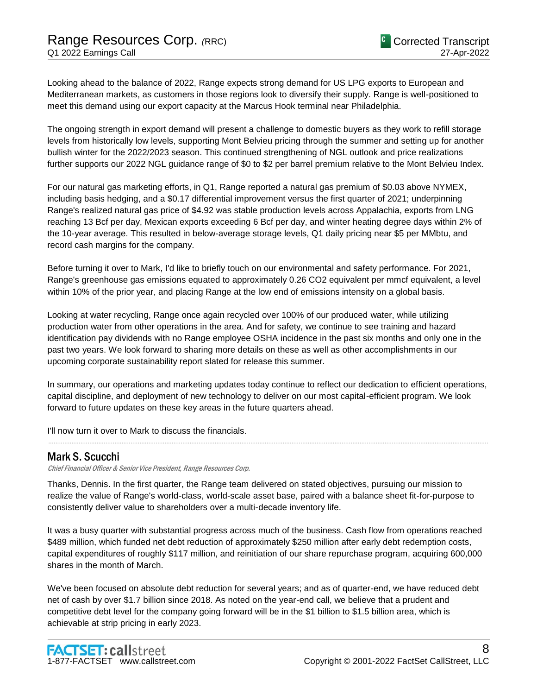Looking ahead to the balance of 2022, Range expects strong demand for US LPG exports to European and Mediterranean markets, as customers in those regions look to diversify their supply. Range is well-positioned to meet this demand using our export capacity at the Marcus Hook terminal near Philadelphia.

The ongoing strength in export demand will present a challenge to domestic buyers as they work to refill storage levels from historically low levels, supporting Mont Belvieu pricing through the summer and setting up for another bullish winter for the 2022/2023 season. This continued strengthening of NGL outlook and price realizations further supports our 2022 NGL guidance range of \$0 to \$2 per barrel premium relative to the Mont Belvieu Index.

For our natural gas marketing efforts, in Q1, Range reported a natural gas premium of \$0.03 above NYMEX, including basis hedging, and a \$0.17 differential improvement versus the first quarter of 2021; underpinning Range's realized natural gas price of \$4.92 was stable production levels across Appalachia, exports from LNG reaching 13 Bcf per day, Mexican exports exceeding 6 Bcf per day, and winter heating degree days within 2% of the 10-year average. This resulted in below-average storage levels, Q1 daily pricing near \$5 per MMbtu, and record cash margins for the company.

Before turning it over to Mark, I'd like to briefly touch on our environmental and safety performance. For 2021, Range's greenhouse gas emissions equated to approximately 0.26 CO2 equivalent per mmcf equivalent, a level within 10% of the prior year, and placing Range at the low end of emissions intensity on a global basis.

Looking at water recycling, Range once again recycled over 100% of our produced water, while utilizing production water from other operations in the area. And for safety, we continue to see training and hazard identification pay dividends with no Range employee OSHA incidence in the past six months and only one in the past two years. We look forward to sharing more details on these as well as other accomplishments in our upcoming corporate sustainability report slated for release this summer.

In summary, our operations and marketing updates today continue to reflect our dedication to efficient operations, capital discipline, and deployment of new technology to deliver on our most capital-efficient program. We look forward to future updates on these key areas in the future quarters ahead.

......................................................................................................................................................................................................................................................

I'll now turn it over to Mark to discuss the financials.

## Mark S. Scucchi

Chief Financial Officer & Senior Vice President, Range Resources Corp.

Thanks, Dennis. In the first quarter, the Range team delivered on stated objectives, pursuing our mission to realize the value of Range's world-class, world-scale asset base, paired with a balance sheet fit-for-purpose to consistently deliver value to shareholders over a multi-decade inventory life.

It was a busy quarter with substantial progress across much of the business. Cash flow from operations reached \$489 million, which funded net debt reduction of approximately \$250 million after early debt redemption costs, capital expenditures of roughly \$117 million, and reinitiation of our share repurchase program, acquiring 600,000 shares in the month of March.

We've been focused on absolute debt reduction for several years; and as of quarter-end, we have reduced debt net of cash by over \$1.7 billion since 2018. As noted on the year-end call, we believe that a prudent and competitive debt level for the company going forward will be in the \$1 billion to \$1.5 billion area, which is achievable at strip pricing in early 2023.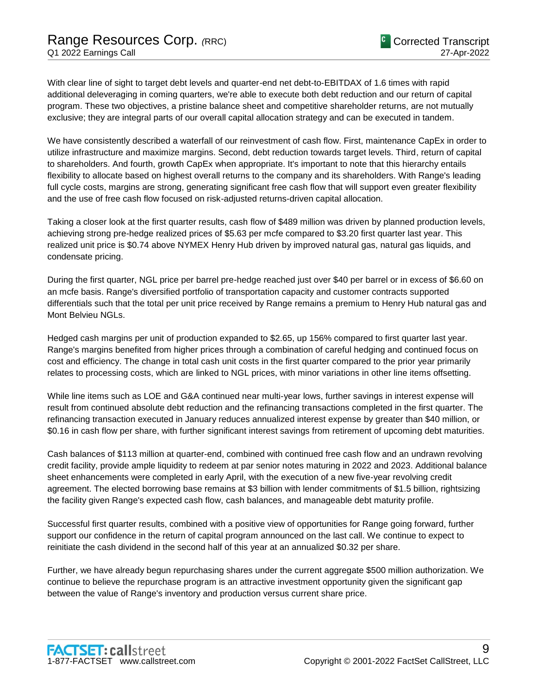With clear line of sight to target debt levels and quarter-end net debt-to-EBITDAX of 1.6 times with rapid additional deleveraging in coming quarters, we're able to execute both debt reduction and our return of capital program. These two objectives, a pristine balance sheet and competitive shareholder returns, are not mutually exclusive; they are integral parts of our overall capital allocation strategy and can be executed in tandem.

We have consistently described a waterfall of our reinvestment of cash flow. First, maintenance CapEx in order to utilize infrastructure and maximize margins. Second, debt reduction towards target levels. Third, return of capital to shareholders. And fourth, growth CapEx when appropriate. It's important to note that this hierarchy entails flexibility to allocate based on highest overall returns to the company and its shareholders. With Range's leading full cycle costs, margins are strong, generating significant free cash flow that will support even greater flexibility and the use of free cash flow focused on risk-adjusted returns-driven capital allocation.

Taking a closer look at the first quarter results, cash flow of \$489 million was driven by planned production levels, achieving strong pre-hedge realized prices of \$5.63 per mcfe compared to \$3.20 first quarter last year. This realized unit price is \$0.74 above NYMEX Henry Hub driven by improved natural gas, natural gas liquids, and condensate pricing.

During the first quarter, NGL price per barrel pre-hedge reached just over \$40 per barrel or in excess of \$6.60 on an mcfe basis. Range's diversified portfolio of transportation capacity and customer contracts supported differentials such that the total per unit price received by Range remains a premium to Henry Hub natural gas and Mont Belvieu NGLs.

Hedged cash margins per unit of production expanded to \$2.65, up 156% compared to first quarter last year. Range's margins benefited from higher prices through a combination of careful hedging and continued focus on cost and efficiency. The change in total cash unit costs in the first quarter compared to the prior year primarily relates to processing costs, which are linked to NGL prices, with minor variations in other line items offsetting.

While line items such as LOE and G&A continued near multi-year lows, further savings in interest expense will result from continued absolute debt reduction and the refinancing transactions completed in the first quarter. The refinancing transaction executed in January reduces annualized interest expense by greater than \$40 million, or \$0.16 in cash flow per share, with further significant interest savings from retirement of upcoming debt maturities.

Cash balances of \$113 million at quarter-end, combined with continued free cash flow and an undrawn revolving credit facility, provide ample liquidity to redeem at par senior notes maturing in 2022 and 2023. Additional balance sheet enhancements were completed in early April, with the execution of a new five-year revolving credit agreement. The elected borrowing base remains at \$3 billion with lender commitments of \$1.5 billion, rightsizing the facility given Range's expected cash flow, cash balances, and manageable debt maturity profile.

Successful first quarter results, combined with a positive view of opportunities for Range going forward, further support our confidence in the return of capital program announced on the last call. We continue to expect to reinitiate the cash dividend in the second half of this year at an annualized \$0.32 per share.

Further, we have already begun repurchasing shares under the current aggregate \$500 million authorization. We continue to believe the repurchase program is an attractive investment opportunity given the significant gap between the value of Range's inventory and production versus current share price.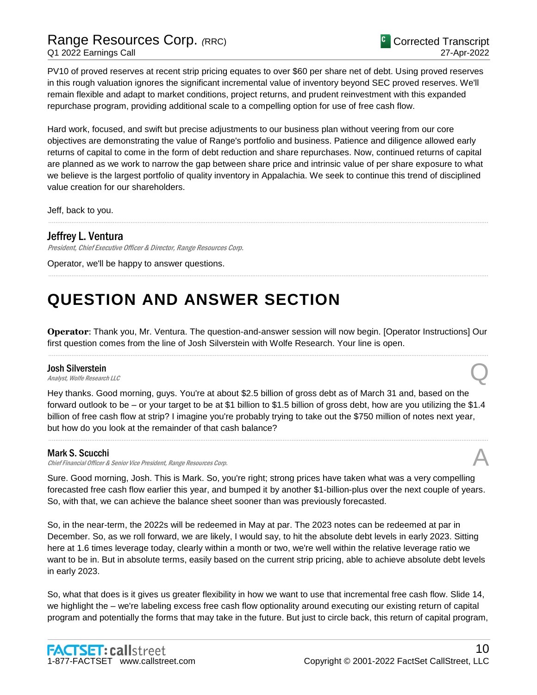PV10 of proved reserves at recent strip pricing equates to over \$60 per share net of debt. Using proved reserves in this rough valuation ignores the significant incremental value of inventory beyond SEC proved reserves. We'll remain flexible and adapt to market conditions, project returns, and prudent reinvestment with this expanded repurchase program, providing additional scale to a compelling option for use of free cash flow.

Hard work, focused, and swift but precise adjustments to our business plan without veering from our core objectives are demonstrating the value of Range's portfolio and business. Patience and diligence allowed early returns of capital to come in the form of debt reduction and share repurchases. Now, continued returns of capital are planned as we work to narrow the gap between share price and intrinsic value of per share exposure to what we believe is the largest portfolio of quality inventory in Appalachia. We seek to continue this trend of disciplined value creation for our shareholders.

......................................................................................................................................................................................................................................................

......................................................................................................................................................................................................................................................

Jeff, back to you.

## Jeffrey L. Ventura

President, Chief Executive Officer & Director, Range Resources Corp.

Operator, we'll be happy to answer questions.

# **QUESTION AND ANSWER SECTION**

**Operator**: Thank you, Mr. Ventura. The question-and-answer session will now begin. [Operator Instructions] Our first question comes from the line of Josh Silverstein with Wolfe Research. Your line is open. ......................................................................................................................................................................................................................................................

### Josh Silverstein

**Josh Silverstein**<br>Analyst, Wolfe Research LLC

Hey thanks. Good morning, guys. You're at about \$2.5 billion of gross debt as of March 31 and, based on the forward outlook to be – or your target to be at \$1 billion to \$1.5 billion of gross debt, how are you utilizing the \$1.4 billion of free cash flow at strip? I imagine you're probably trying to take out the \$750 million of notes next year, but how do you look at the remainder of that cash balance?

......................................................................................................................................................................................................................................................

### Mark S. Scucchi

Chief Financial Officer & Senior Vice President, Range Resources Corp.

Sure. Good morning, Josh. This is Mark. So, you're right; strong prices have taken what was a very compelling forecasted free cash flow earlier this year, and bumped it by another \$1-billion-plus over the next couple of years. So, with that, we can achieve the balance sheet sooner than was previously forecasted.

So, in the near-term, the 2022s will be redeemed in May at par. The 2023 notes can be redeemed at par in December. So, as we roll forward, we are likely, I would say, to hit the absolute debt levels in early 2023. Sitting here at 1.6 times leverage today, clearly within a month or two, we're well within the relative leverage ratio we want to be in. But in absolute terms, easily based on the current strip pricing, able to achieve absolute debt levels in early 2023.

So, what that does is it gives us greater flexibility in how we want to use that incremental free cash flow. Slide 14, we highlight the – we're labeling excess free cash flow optionality around executing our existing return of capital program and potentially the forms that may take in the future. But just to circle back, this return of capital program,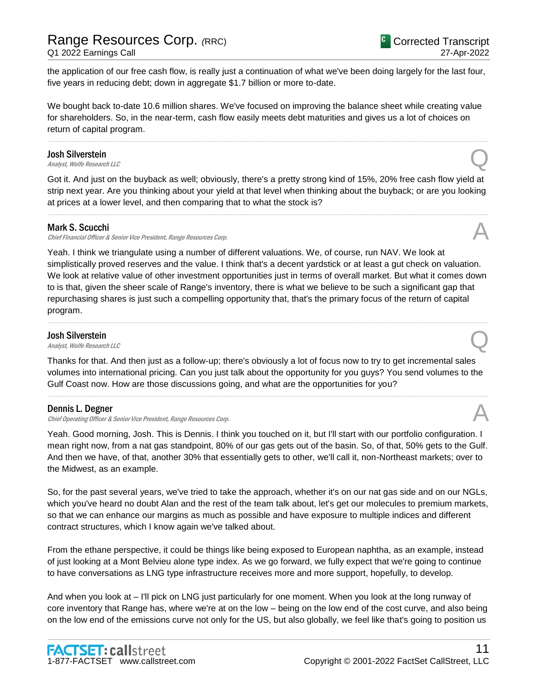the application of our free cash flow, is really just a continuation of what we've been doing largely for the last four, five years in reducing debt; down in aggregate \$1.7 billion or more to-date.

We bought back to-date 10.6 million shares. We've focused on improving the balance sheet while creating value for shareholders. So, in the near-term, cash flow easily meets debt maturities and gives us a lot of choices on return of capital program.

......................................................................................................................................................................................................................................................

### Josh Silverstein

**Josh Silverstein**<br>Analyst, Wolfe Research LLC

Got it. And just on the buyback as well; obviously, there's a pretty strong kind of 15%, 20% free cash flow yield at strip next year. Are you thinking about your yield at that level when thinking about the buyback; or are you looking at prices at a lower level, and then comparing that to what the stock is?

......................................................................................................................................................................................................................................................

### Mark S. Scucchi

Chief Financial Officer & Senior Vice President, Range Resources Corp.

Yeah. I think we triangulate using a number of different valuations. We, of course, run NAV. We look at simplistically proved reserves and the value. I think that's a decent yardstick or at least a gut check on valuation. We look at relative value of other investment opportunities just in terms of overall market. But what it comes down to is that, given the sheer scale of Range's inventory, there is what we believe to be such a significant gap that repurchasing shares is just such a compelling opportunity that, that's the primary focus of the return of capital program.

......................................................................................................................................................................................................................................................

### Josh Silverstein

**Josh Silverstein**<br>Analyst, Wolfe Research LLC

Thanks for that. And then just as a follow-up; there's obviously a lot of focus now to try to get incremental sales volumes into international pricing. Can you just talk about the opportunity for you guys? You send volumes to the Gulf Coast now. How are those discussions going, and what are the opportunities for you?

......................................................................................................................................................................................................................................................

### Dennis L. Degner

Chief Operating Officer & Senior Vice President, Range Resources Corp.

Yeah. Good morning, Josh. This is Dennis. I think you touched on it, but I'll start with our portfolio configuration. I mean right now, from a nat gas standpoint, 80% of our gas gets out of the basin. So, of that, 50% gets to the Gulf. And then we have, of that, another 30% that essentially gets to other, we'll call it, non-Northeast markets; over to the Midwest, as an example.

So, for the past several years, we've tried to take the approach, whether it's on our nat gas side and on our NGLs, which you've heard no doubt Alan and the rest of the team talk about, let's get our molecules to premium markets, so that we can enhance our margins as much as possible and have exposure to multiple indices and different contract structures, which I know again we've talked about.

From the ethane perspective, it could be things like being exposed to European naphtha, as an example, instead of just looking at a Mont Belvieu alone type index. As we go forward, we fully expect that we're going to continue to have conversations as LNG type infrastructure receives more and more support, hopefully, to develop.

And when you look at – I'll pick on LNG just particularly for one moment. When you look at the long runway of core inventory that Range has, where we're at on the low – being on the low end of the cost curve, and also being on the low end of the emissions curve not only for the US, but also globally, we feel like that's going to position us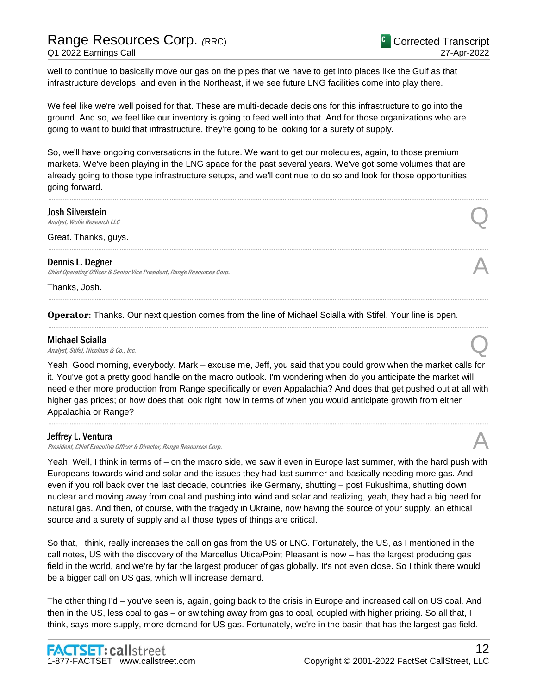well to continue to basically move our gas on the pipes that we have to get into places like the Gulf as that infrastructure develops; and even in the Northeast, if we see future LNG facilities come into play there.

We feel like we're well poised for that. These are multi-decade decisions for this infrastructure to go into the ground. And so, we feel like our inventory is going to feed well into that. And for those organizations who are going to want to build that infrastructure, they're going to be looking for a surety of supply.

So, we'll have ongoing conversations in the future. We want to get our molecules, again, to those premium markets. We've been playing in the LNG space for the past several years. We've got some volumes that are already going to those type infrastructure setups, and we'll continue to do so and look for those opportunities going forward.

......................................................................................................................................................................................................................................................

......................................................................................................................................................................................................................................................

......................................................................................................................................................................................................................................................

......................................................................................................................................................................................................................................................

### Josh Silverstein

**Josh Silverstein**<br>Analyst, Wolfe Research LLC

Great. Thanks, guys.

### Dennis L. Degner

Chief Operating Officer & Senior Vice President, Range Resources Corp.

Thanks, Josh.

**Operator**: Thanks. Our next question comes from the line of Michael Scialla with Stifel. Your line is open.

### Michael Scialla

**Michael Scialla**<br>Analyst, Stifel, Nicolaus & Co., Inc.  $\bigotimes$ 

Yeah. Good morning, everybody. Mark – excuse me, Jeff, you said that you could grow when the market calls for it. You've got a pretty good handle on the macro outlook. I'm wondering when do you anticipate the market will need either more production from Range specifically or even Appalachia? And does that get pushed out at all with higher gas prices; or how does that look right now in terms of when you would anticipate growth from either Appalachia or Range?

......................................................................................................................................................................................................................................................

### Jeffrey L. Ventura

President, Chief Executive Officer & Director, Range Resources Corp.

Yeah. Well, I think in terms of – on the macro side, we saw it even in Europe last summer, with the hard push with Europeans towards wind and solar and the issues they had last summer and basically needing more gas. And even if you roll back over the last decade, countries like Germany, shutting – post Fukushima, shutting down nuclear and moving away from coal and pushing into wind and solar and realizing, yeah, they had a big need for natural gas. And then, of course, with the tragedy in Ukraine, now having the source of your supply, an ethical source and a surety of supply and all those types of things are critical.

So that, I think, really increases the call on gas from the US or LNG. Fortunately, the US, as I mentioned in the call notes, US with the discovery of the Marcellus Utica/Point Pleasant is now – has the largest producing gas field in the world, and we're by far the largest producer of gas globally. It's not even close. So I think there would be a bigger call on US gas, which will increase demand.

The other thing I'd – you've seen is, again, going back to the crisis in Europe and increased call on US coal. And then in the US, less coal to gas – or switching away from gas to coal, coupled with higher pricing. So all that, I think, says more supply, more demand for US gas. Fortunately, we're in the basin that has the largest gas field.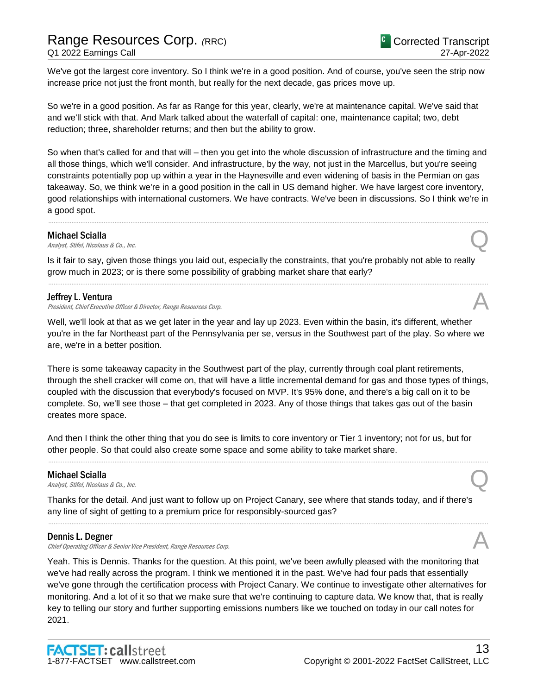# Range Resources Corp. *(*RRC) Q1 2022 Earnings Call

We've got the largest core inventory. So I think we're in a good position. And of course, you've seen the strip now increase price not just the front month, but really for the next decade, gas prices move up.

So we're in a good position. As far as Range for this year, clearly, we're at maintenance capital. We've said that and we'll stick with that. And Mark talked about the waterfall of capital: one, maintenance capital; two, debt reduction; three, shareholder returns; and then but the ability to grow.

So when that's called for and that will – then you get into the whole discussion of infrastructure and the timing and all those things, which we'll consider. And infrastructure, by the way, not just in the Marcellus, but you're seeing constraints potentially pop up within a year in the Haynesville and even widening of basis in the Permian on gas takeaway. So, we think we're in a good position in the call in US demand higher. We have largest core inventory, good relationships with international customers. We have contracts. We've been in discussions. So I think we're in a good spot.

......................................................................................................................................................................................................................................................

### Michael Scialla

**Michael Scialla**<br>Analyst, Stifel, Nicolaus & Co., Inc.  $\bigotimes$ 

Is it fair to say, given those things you laid out, especially the constraints, that you're probably not able to really grow much in 2023; or is there some possibility of grabbing market share that early?

......................................................................................................................................................................................................................................................

### Jeffrey L. Ventura

President, Chief Executive Officer & Director, Range Resources Corp.

Well, we'll look at that as we get later in the year and lay up 2023. Even within the basin, it's different, whether you're in the far Northeast part of the Pennsylvania per se, versus in the Southwest part of the play. So where we are, we're in a better position.

There is some takeaway capacity in the Southwest part of the play, currently through coal plant retirements, through the shell cracker will come on, that will have a little incremental demand for gas and those types of things, coupled with the discussion that everybody's focused on MVP. It's 95% done, and there's a big call on it to be complete. So, we'll see those – that get completed in 2023. Any of those things that takes gas out of the basin creates more space.

And then I think the other thing that you do see is limits to core inventory or Tier 1 inventory; not for us, but for other people. So that could also create some space and some ability to take market share.

......................................................................................................................................................................................................................................................

### Michael Scialla

**Michael Scialla**<br>Analyst, Stifel, Nicolaus & Co., Inc.  $\bigotimes$ 

Thanks for the detail. And just want to follow up on Project Canary, see where that stands today, and if there's any line of sight of getting to a premium price for responsibly-sourced gas?

......................................................................................................................................................................................................................................................

### Dennis L. Degner

Chief Operating Officer & Senior Vice President, Range Resources Corp.

Yeah. This is Dennis. Thanks for the question. At this point, we've been awfully pleased with the monitoring that we've had really across the program. I think we mentioned it in the past. We've had four pads that essentially we've gone through the certification process with Project Canary. We continue to investigate other alternatives for monitoring. And a lot of it so that we make sure that we're continuing to capture data. We know that, that is really key to telling our story and further supporting emissions numbers like we touched on today in our call notes for 2021.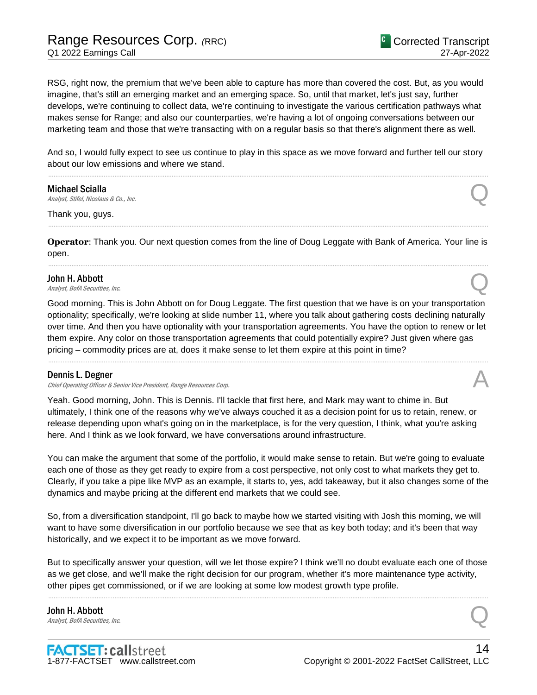RSG, right now, the premium that we've been able to capture has more than covered the cost. But, as you would imagine, that's still an emerging market and an emerging space. So, until that market, let's just say, further develops, we're continuing to collect data, we're continuing to investigate the various certification pathways what makes sense for Range; and also our counterparties, we're having a lot of ongoing conversations between our marketing team and those that we're transacting with on a regular basis so that there's alignment there as well.

And so, I would fully expect to see us continue to play in this space as we move forward and further tell our story about our low emissions and where we stand. ......................................................................................................................................................................................................................................................

Michael Scialla **Michael Scialla**<br>Analyst, Stifel, Nicolaus & Co., Inc.  $\bigotimes$ 

Thank you, guys.

**Operator**: Thank you. Our next question comes from the line of Doug Leggate with Bank of America. Your line is open. ......................................................................................................................................................................................................................................................

......................................................................................................................................................................................................................................................

### John H. Abbott

**John H. Abbott**  $\Omega$  analyst, BofA Securities, Inc.  $\Omega$ 

Good morning. This is John Abbott on for Doug Leggate. The first question that we have is on your transportation optionality; specifically, we're looking at slide number 11, where you talk about gathering costs declining naturally over time. And then you have optionality with your transportation agreements. You have the option to renew or let them expire. Any color on those transportation agreements that could potentially expire? Just given where gas pricing – commodity prices are at, does it make sense to let them expire at this point in time?

......................................................................................................................................................................................................................................................

### Dennis L. Degner

Chief Operating Officer & Senior Vice President, Range Resources Corp.

Yeah. Good morning, John. This is Dennis. I'll tackle that first here, and Mark may want to chime in. But ultimately, I think one of the reasons why we've always couched it as a decision point for us to retain, renew, or release depending upon what's going on in the marketplace, is for the very question, I think, what you're asking here. And I think as we look forward, we have conversations around infrastructure.

You can make the argument that some of the portfolio, it would make sense to retain. But we're going to evaluate each one of those as they get ready to expire from a cost perspective, not only cost to what markets they get to. Clearly, if you take a pipe like MVP as an example, it starts to, yes, add takeaway, but it also changes some of the dynamics and maybe pricing at the different end markets that we could see.

So, from a diversification standpoint, I'll go back to maybe how we started visiting with Josh this morning, we will want to have some diversification in our portfolio because we see that as key both today; and it's been that way historically, and we expect it to be important as we move forward.

But to specifically answer your question, will we let those expire? I think we'll no doubt evaluate each one of those as we get close, and we'll make the right decision for our program, whether it's more maintenance type activity, other pipes get commissioned, or if we are looking at some low modest growth type profile.

......................................................................................................................................................................................................................................................

John H. Abbott **John H. Abbott**  $\Omega$  Analyst, BofA Securities, Inc.  $\Omega$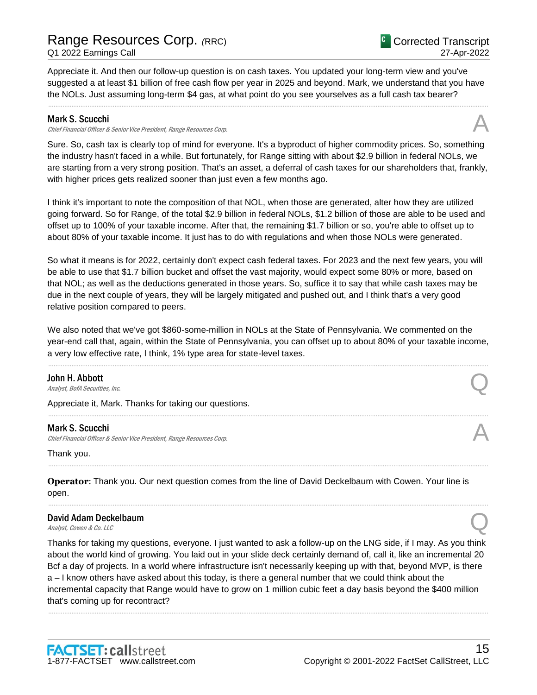Appreciate it. And then our follow-up question is on cash taxes. You updated your long-term view and you've suggested a at least \$1 billion of free cash flow per year in 2025 and beyond. Mark, we understand that you have the NOLs. Just assuming long-term \$4 gas, at what point do you see yourselves as a full cash tax bearer?

......................................................................................................................................................................................................................................................

### Mark S. Scucchi

Chief Financial Officer & Senior Vice President, Range Resources Corp. A

Sure. So, cash tax is clearly top of mind for everyone. It's a byproduct of higher commodity prices. So, something the industry hasn't faced in a while. But fortunately, for Range sitting with about \$2.9 billion in federal NOLs, we are starting from a very strong position. That's an asset, a deferral of cash taxes for our shareholders that, frankly, with higher prices gets realized sooner than just even a few months ago.

I think it's important to note the composition of that NOL, when those are generated, alter how they are utilized going forward. So for Range, of the total \$2.9 billion in federal NOLs, \$1.2 billion of those are able to be used and offset up to 100% of your taxable income. After that, the remaining \$1.7 billion or so, you're able to offset up to about 80% of your taxable income. It just has to do with regulations and when those NOLs were generated.

So what it means is for 2022, certainly don't expect cash federal taxes. For 2023 and the next few years, you will be able to use that \$1.7 billion bucket and offset the vast majority, would expect some 80% or more, based on that NOL; as well as the deductions generated in those years. So, suffice it to say that while cash taxes may be due in the next couple of years, they will be largely mitigated and pushed out, and I think that's a very good relative position compared to peers.

We also noted that we've got \$860-some-million in NOLs at the State of Pennsylvania. We commented on the year-end call that, again, within the State of Pennsylvania, you can offset up to about 80% of your taxable income, a very low effective rate, I think, 1% type area for state-level taxes.

......................................................................................................................................................................................................................................................

......................................................................................................................................................................................................................................................

......................................................................................................................................................................................................................................................

......................................................................................................................................................................................................................................................

John H. Abbott **John H. Abbott**  $\Omega$  Analyst, BofA Securities, Inc.  $\Omega$ 

Appreciate it, Mark. Thanks for taking our questions.

### Mark S. Scucchi

Chief Financial Officer & Senior Vice President, Range Resources Corp.

Thank you.

**Operator**: Thank you. Our next question comes from the line of David Deckelbaum with Cowen. Your line is open.

## David Adam Deckelbaum David Adam Deckelbaum<br>
Analyst, Cowen & Co. LLC

Thanks for taking my questions, everyone. I just wanted to ask a follow-up on the LNG side, if I may. As you think about the world kind of growing. You laid out in your slide deck certainly demand of, call it, like an incremental 20 Bcf a day of projects. In a world where infrastructure isn't necessarily keeping up with that, beyond MVP, is there a – I know others have asked about this today, is there a general number that we could think about the incremental capacity that Range would have to grow on 1 million cubic feet a day basis beyond the \$400 million that's coming up for recontract?

......................................................................................................................................................................................................................................................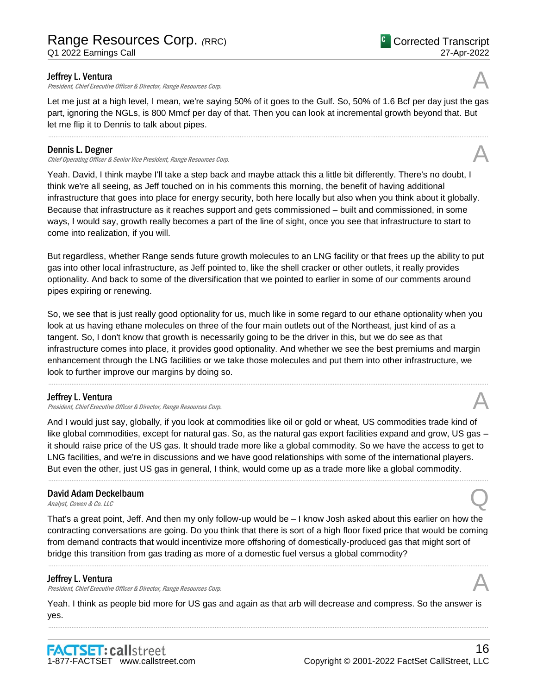# Range Resources Corp. *(*RRC)

Q1 2022 Earnings Call

### Jeffrey L. Ventura

President, Chief Executive Officer & Director, Range Resources Corp.

Let me just at a high level, I mean, we're saying 50% of it goes to the Gulf. So, 50% of 1.6 Bcf per day just the gas part, ignoring the NGLs, is 800 Mmcf per day of that. Then you can look at incremental growth beyond that. But let me flip it to Dennis to talk about pipes.

......................................................................................................................................................................................................................................................

### Dennis L. Degner

Chief Operating Officer & Senior Vice President, Range Resources Corp.

Yeah. David, I think maybe I'll take a step back and maybe attack this a little bit differently. There's no doubt, I think we're all seeing, as Jeff touched on in his comments this morning, the benefit of having additional infrastructure that goes into place for energy security, both here locally but also when you think about it globally. Because that infrastructure as it reaches support and gets commissioned – built and commissioned, in some ways, I would say, growth really becomes a part of the line of sight, once you see that infrastructure to start to come into realization, if you will.

But regardless, whether Range sends future growth molecules to an LNG facility or that frees up the ability to put gas into other local infrastructure, as Jeff pointed to, like the shell cracker or other outlets, it really provides optionality. And back to some of the diversification that we pointed to earlier in some of our comments around pipes expiring or renewing.

So, we see that is just really good optionality for us, much like in some regard to our ethane optionality when you look at us having ethane molecules on three of the four main outlets out of the Northeast, just kind of as a tangent. So, I don't know that growth is necessarily going to be the driver in this, but we do see as that infrastructure comes into place, it provides good optionality. And whether we see the best premiums and margin enhancement through the LNG facilities or we take those molecules and put them into other infrastructure, we look to further improve our margins by doing so.

......................................................................................................................................................................................................................................................

### Jeffrey L. Ventura

President, Chief Executive Officer & Director, Range Resources Corp.

And I would just say, globally, if you look at commodities like oil or gold or wheat, US commodities trade kind of like global commodities, except for natural gas. So, as the natural gas export facilities expand and grow, US gas – it should raise price of the US gas. It should trade more like a global commodity. So we have the access to get to LNG facilities, and we're in discussions and we have good relationships with some of the international players. But even the other, just US gas in general, I think, would come up as a trade more like a global commodity.

......................................................................................................................................................................................................................................................

## David Adam Deckelbaum David Adam Deckelbaum<br>
Analyst, Cowen & Co. LLC

That's a great point, Jeff. And then my only follow-up would be – I know Josh asked about this earlier on how the contracting conversations are going. Do you think that there is sort of a high floor fixed price that would be coming from demand contracts that would incentivize more offshoring of domestically-produced gas that might sort of bridge this transition from gas trading as more of a domestic fuel versus a global commodity?

### Jeffrey L. Ventura

President, Chief Executive Officer & Director, Range Resources Corp.

Yeah. I think as people bid more for US gas and again as that arb will decrease and compress. So the answer is yes. ......................................................................................................................................................................................................................................................





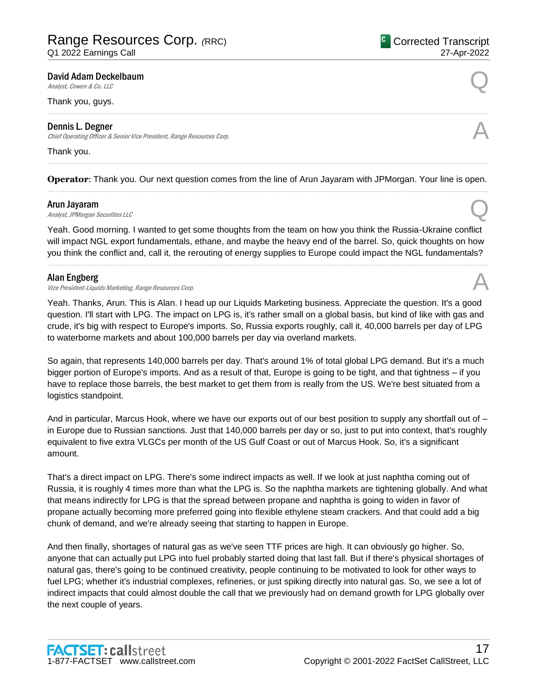David Adam Deckelbaum<br>Analyst, Cowen & Co. LLC

### Thank you, guys.

### Dennis L. Degner

Chief Operating Officer & Senior Vice President, Range Resources Corp.

### Thank you.

**Operator**: Thank you. Our next question comes from the line of Arun Jayaram with JPMorgan. Your line is open. ......................................................................................................................................................................................................................................................

### Arun Jayaram

Arun Jayaram<br>Analyst, JPMorgan Securities LLC

Yeah. Good morning. I wanted to get some thoughts from the team on how you think the Russia-Ukraine conflict will impact NGL export fundamentals, ethane, and maybe the heavy end of the barrel. So, quick thoughts on how you think the conflict and, call it, the rerouting of energy supplies to Europe could impact the NGL fundamentals?

......................................................................................................................................................................................................................................................

### Alan Engberg

# Alan Engberg<br>Vice President-Liquids Marketing, Range Resources Corp.

Yeah. Thanks, Arun. This is Alan. I head up our Liquids Marketing business. Appreciate the question. It's a good question. I'll start with LPG. The impact on LPG is, it's rather small on a global basis, but kind of like with gas and crude, it's big with respect to Europe's imports. So, Russia exports roughly, call it, 40,000 barrels per day of LPG to waterborne markets and about 100,000 barrels per day via overland markets.

So again, that represents 140,000 barrels per day. That's around 1% of total global LPG demand. But it's a much bigger portion of Europe's imports. And as a result of that, Europe is going to be tight, and that tightness – if you have to replace those barrels, the best market to get them from is really from the US. We're best situated from a logistics standpoint.

And in particular, Marcus Hook, where we have our exports out of our best position to supply any shortfall out of – in Europe due to Russian sanctions. Just that 140,000 barrels per day or so, just to put into context, that's roughly equivalent to five extra VLGCs per month of the US Gulf Coast or out of Marcus Hook. So, it's a significant amount.

That's a direct impact on LPG. There's some indirect impacts as well. If we look at just naphtha coming out of Russia, it is roughly 4 times more than what the LPG is. So the naphtha markets are tightening globally. And what that means indirectly for LPG is that the spread between propane and naphtha is going to widen in favor of propane actually becoming more preferred going into flexible ethylene steam crackers. And that could add a big chunk of demand, and we're already seeing that starting to happen in Europe.

And then finally, shortages of natural gas as we've seen TTF prices are high. It can obviously go higher. So, anyone that can actually put LPG into fuel probably started doing that last fall. But if there's physical shortages of natural gas, there's going to be continued creativity, people continuing to be motivated to look for other ways to fuel LPG; whether it's industrial complexes, refineries, or just spiking directly into natural gas. So, we see a lot of indirect impacts that could almost double the call that we previously had on demand growth for LPG globally over the next couple of years.



# ......................................................................................................................................................................................................................................................

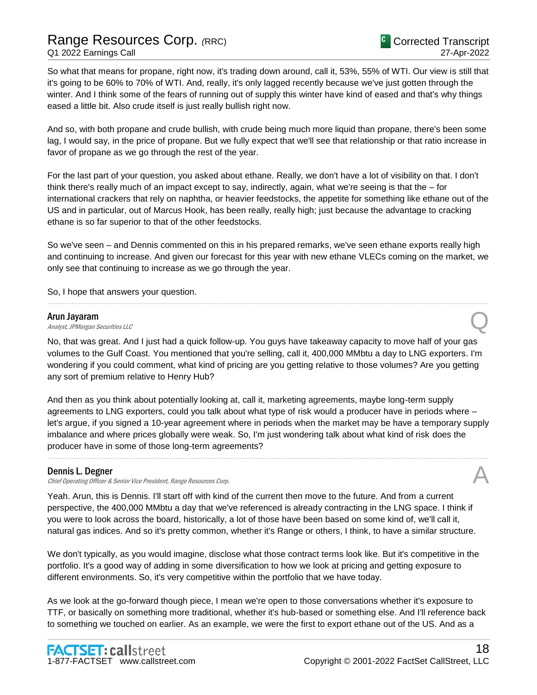So what that means for propane, right now, it's trading down around, call it, 53%, 55% of WTI. Our view is still that it's going to be 60% to 70% of WTI. And, really, it's only lagged recently because we've just gotten through the winter. And I think some of the fears of running out of supply this winter have kind of eased and that's why things eased a little bit. Also crude itself is just really bullish right now.

And so, with both propane and crude bullish, with crude being much more liquid than propane, there's been some lag, I would say, in the price of propane. But we fully expect that we'll see that relationship or that ratio increase in favor of propane as we go through the rest of the year.

For the last part of your question, you asked about ethane. Really, we don't have a lot of visibility on that. I don't think there's really much of an impact except to say, indirectly, again, what we're seeing is that the – for international crackers that rely on naphtha, or heavier feedstocks, the appetite for something like ethane out of the US and in particular, out of Marcus Hook, has been really, really high; just because the advantage to cracking ethane is so far superior to that of the other feedstocks.

So we've seen – and Dennis commented on this in his prepared remarks, we've seen ethane exports really high and continuing to increase. And given our forecast for this year with new ethane VLECs coming on the market, we only see that continuing to increase as we go through the year.

......................................................................................................................................................................................................................................................

So, I hope that answers your question.

### Arun Jayaram

**Arun Jayaram**<br>Analyst, JPMorgan Securities LLC

No, that was great. And I just had a quick follow-up. You guys have takeaway capacity to move half of your gas volumes to the Gulf Coast. You mentioned that you're selling, call it, 400,000 MMbtu a day to LNG exporters. I'm wondering if you could comment, what kind of pricing are you getting relative to those volumes? Are you getting any sort of premium relative to Henry Hub?

And then as you think about potentially looking at, call it, marketing agreements, maybe long-term supply agreements to LNG exporters, could you talk about what type of risk would a producer have in periods where – let's argue, if you signed a 10-year agreement where in periods when the market may be have a temporary supply imbalance and where prices globally were weak. So, I'm just wondering talk about what kind of risk does the producer have in some of those long-term agreements?

......................................................................................................................................................................................................................................................

### Dennis L. Degner

Chief Operating Officer & Senior Vice President, Range Resources Corp.

Yeah. Arun, this is Dennis. I'll start off with kind of the current then move to the future. And from a current perspective, the 400,000 MMbtu a day that we've referenced is already contracting in the LNG space. I think if you were to look across the board, historically, a lot of those have been based on some kind of, we'll call it, natural gas indices. And so it's pretty common, whether it's Range or others, I think, to have a similar structure.

We don't typically, as you would imagine, disclose what those contract terms look like. But it's competitive in the portfolio. It's a good way of adding in some diversification to how we look at pricing and getting exposure to different environments. So, it's very competitive within the portfolio that we have today.

As we look at the go-forward though piece, I mean we're open to those conversations whether it's exposure to TTF, or basically on something more traditional, whether it's hub-based or something else. And I'll reference back to something we touched on earlier. As an example, we were the first to export ethane out of the US. And as a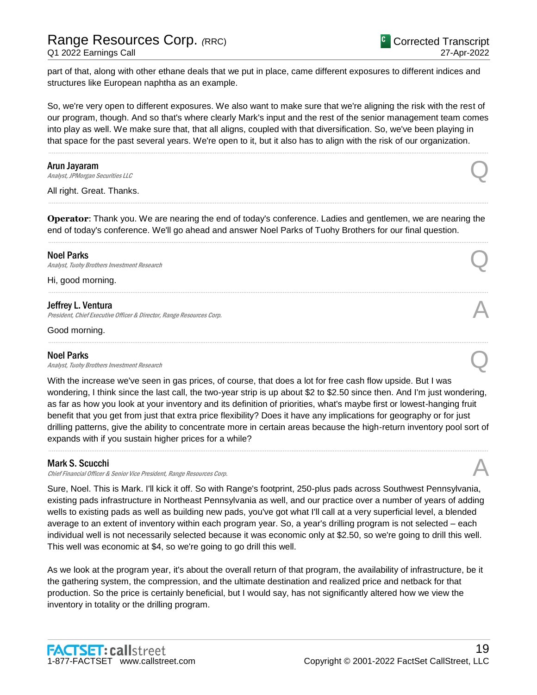part of that, along with other ethane deals that we put in place, came different exposures to different indices and structures like European naphtha as an example.

So, we're very open to different exposures. We also want to make sure that we're aligning the risk with the rest of our program, though. And so that's where clearly Mark's input and the rest of the senior management team comes into play as well. We make sure that, that all aligns, coupled with that diversification. So, we've been playing in that space for the past several years. We're open to it, but it also has to align with the risk of our organization.

......................................................................................................................................................................................................................................................

### Arun Jayaram

**Arun Jayaram**<br>Analyst, JPMorgan Securities LLC

All right. Great. Thanks.

**Operator**: Thank you. We are nearing the end of today's conference. Ladies and gentlemen, we are nearing the end of today's conference. We'll go ahead and answer Noel Parks of Tuohy Brothers for our final question. ......................................................................................................................................................................................................................................................

......................................................................................................................................................................................................................................................

......................................................................................................................................................................................................................................................

......................................................................................................................................................................................................................................................

### Noel Parks

**Noel Parks**<br>Analyst, Tuohy Brothers Investment Research **Q** 

Hi, good morning.

### Jeffrey L. Ventura

President, Chief Executive Officer & Director, Range Resources Corp.

Good morning.

### Noel Parks

**Noel Parks**<br>Analyst, Tuohy Brothers Investment Research **Q** 

With the increase we've seen in gas prices, of course, that does a lot for free cash flow upside. But I was wondering, I think since the last call, the two-year strip is up about \$2 to \$2.50 since then. And I'm just wondering, as far as how you look at your inventory and its definition of priorities, what's maybe first or lowest-hanging fruit benefit that you get from just that extra price flexibility? Does it have any implications for geography or for just drilling patterns, give the ability to concentrate more in certain areas because the high-return inventory pool sort of expands with if you sustain higher prices for a while?

......................................................................................................................................................................................................................................................

### Mark S. Scucchi

Chief Financial Officer & Senior Vice President, Range Resources Corp.

Sure, Noel. This is Mark. I'll kick it off. So with Range's footprint, 250-plus pads across Southwest Pennsylvania, existing pads infrastructure in Northeast Pennsylvania as well, and our practice over a number of years of adding wells to existing pads as well as building new pads, you've got what I'll call at a very superficial level, a blended average to an extent of inventory within each program year. So, a year's drilling program is not selected – each individual well is not necessarily selected because it was economic only at \$2.50, so we're going to drill this well. This well was economic at \$4, so we're going to go drill this well.

As we look at the program year, it's about the overall return of that program, the availability of infrastructure, be it the gathering system, the compression, and the ultimate destination and realized price and netback for that production. So the price is certainly beneficial, but I would say, has not significantly altered how we view the inventory in totality or the drilling program.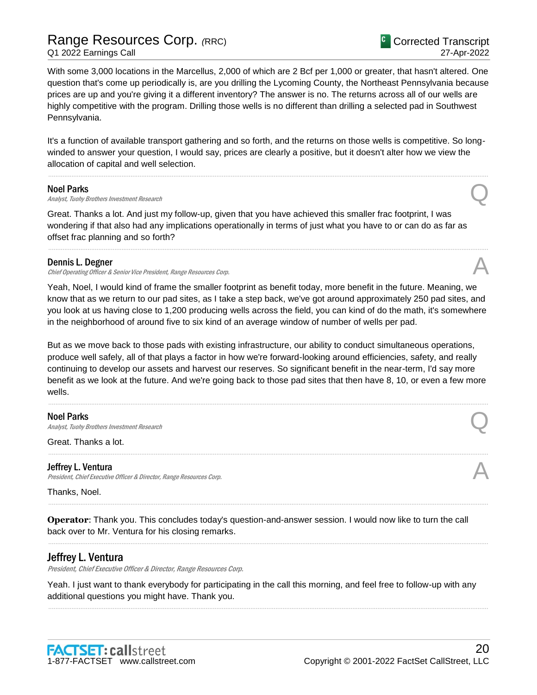# Range Resources Corp. *(*RRC) Q1 2022 Earnings Call

With some 3,000 locations in the Marcellus, 2,000 of which are 2 Bcf per 1,000 or greater, that hasn't altered. One question that's come up periodically is, are you drilling the Lycoming County, the Northeast Pennsylvania because prices are up and you're giving it a different inventory? The answer is no. The returns across all of our wells are highly competitive with the program. Drilling those wells is no different than drilling a selected pad in Southwest Pennsylvania.

It's a function of available transport gathering and so forth, and the returns on those wells is competitive. So longwinded to answer your question, I would say, prices are clearly a positive, but it doesn't alter how we view the allocation of capital and well selection.

......................................................................................................................................................................................................................................................

#### Noel Parks

**Noel Parks**<br>Analyst, Tuohy Brothers Investment Research **Q** 

Great. Thanks a lot. And just my follow-up, given that you have achieved this smaller frac footprint, I was wondering if that also had any implications operationally in terms of just what you have to or can do as far as offset frac planning and so forth?

### Dennis L. Degner

Chief Operating Officer & Senior Vice President, Range Resources Corp.

Yeah, Noel, I would kind of frame the smaller footprint as benefit today, more benefit in the future. Meaning, we know that as we return to our pad sites, as I take a step back, we've got around approximately 250 pad sites, and you look at us having close to 1,200 producing wells across the field, you can kind of do the math, it's somewhere in the neighborhood of around five to six kind of an average window of number of wells per pad.

......................................................................................................................................................................................................................................................

But as we move back to those pads with existing infrastructure, our ability to conduct simultaneous operations, produce well safely, all of that plays a factor in how we're forward-looking around efficiencies, safety, and really continuing to develop our assets and harvest our reserves. So significant benefit in the near-term, I'd say more benefit as we look at the future. And we're going back to those pad sites that then have 8, 10, or even a few more wells.

......................................................................................................................................................................................................................................................

......................................................................................................................................................................................................................................................

......................................................................................................................................................................................................................................................

......................................................................................................................................................................................................................................................

### Noel Parks

**Noel Parks**<br>Analyst, Tuohy Brothers Investment Research **Q** 

Great. Thanks a lot.

### Jeffrey L. Ventura

President, Chief Executive Officer & Director, Range Resources Corp.

Thanks, Noel.

**Operator**: Thank you. This concludes today's question-and-answer session. I would now like to turn the call back over to Mr. Ventura for his closing remarks.

### Jeffrey L. Ventura

President, Chief Executive Officer & Director, Range Resources Corp.

Yeah. I just want to thank everybody for participating in the call this morning, and feel free to follow-up with any additional questions you might have. Thank you.

......................................................................................................................................................................................................................................................